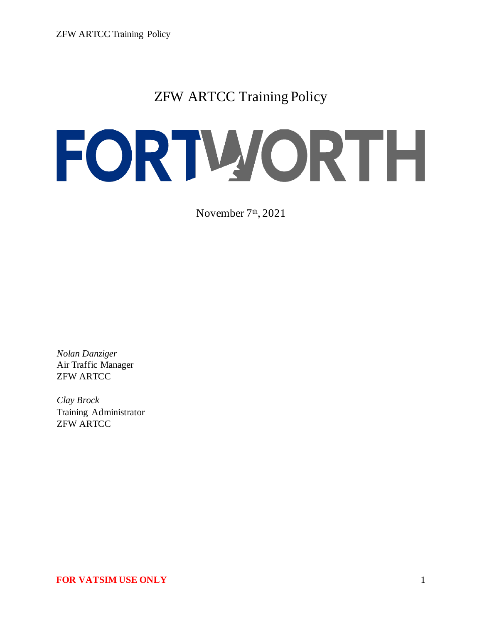## ZFW ARTCC Training Policy

# FORTWORTH

November  $7<sup>th</sup>$ , 2021

*Nolan Danziger* Air Traffic Manager ZFW ARTCC

*Clay Brock* Training Administrator ZFW ARTCC

**FOR VATSIM USE ONLY** 1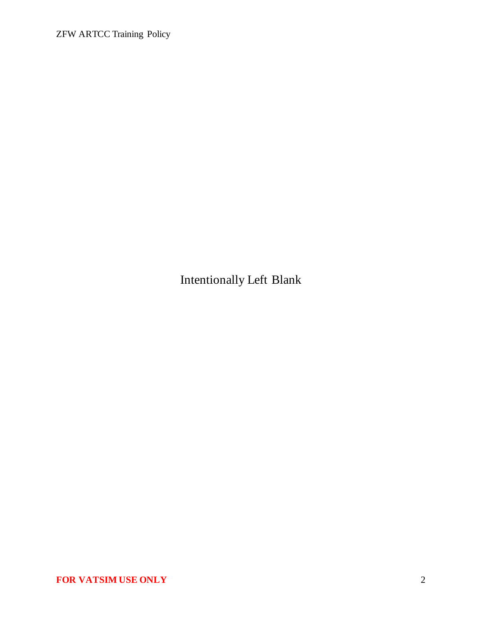ZFW ARTCC Training Policy

Intentionally Left Blank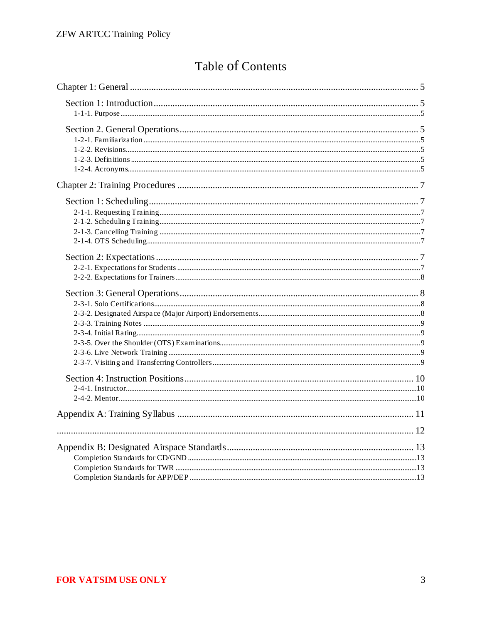# Table of Contents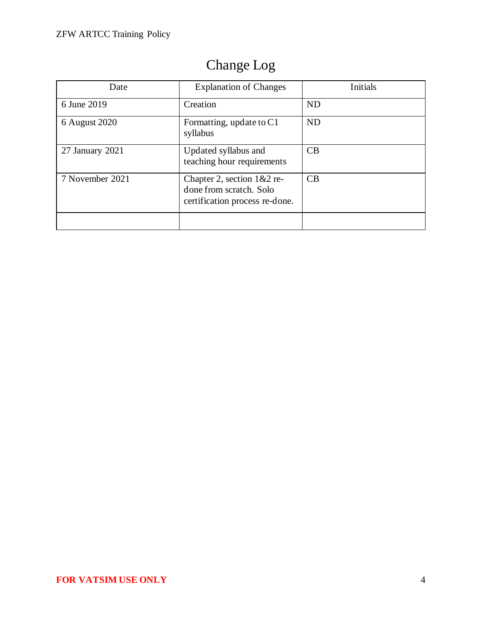| Date            | <b>Explanation of Changes</b>                                                             | Initials  |
|-----------------|-------------------------------------------------------------------------------------------|-----------|
| 6 June 2019     | Creation                                                                                  | <b>ND</b> |
| 6 August 2020   | Formatting, update to $C1$<br>syllabus                                                    | <b>ND</b> |
| 27 January 2021 | Updated syllabus and<br>teaching hour requirements                                        | CB        |
| 7 November 2021 | Chapter 2, section $1&2$ re-<br>done from scratch. Solo<br>certification process re-done. | CB        |
|                 |                                                                                           |           |

# Change Log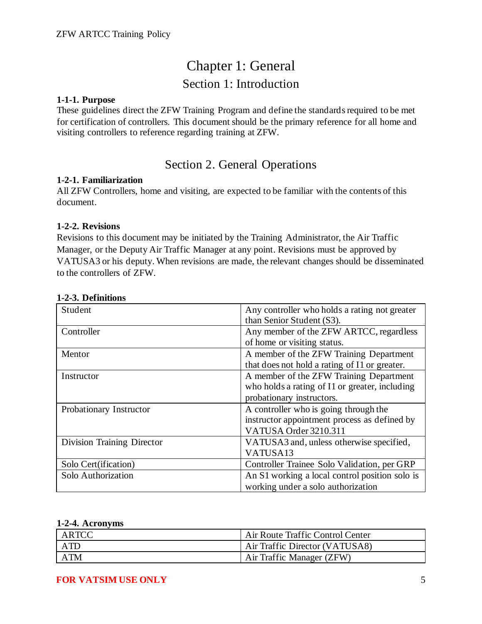## Chapter 1: General Section 1: Introduction

#### <span id="page-4-2"></span><span id="page-4-1"></span><span id="page-4-0"></span>**1-1-1. Purpose**

These guidelines direct the ZFW Training Program and define the standards required to be met for certification of controllers. This document should be the primary reference for all home and visiting controllers to reference regarding training at ZFW.

## Section 2. General Operations

#### <span id="page-4-4"></span><span id="page-4-3"></span>**1-2-1. Familiarization**

All ZFW Controllers, home and visiting, are expected to be familiar with the contents of this document.

#### <span id="page-4-5"></span>**1-2-2. Revisions**

Revisions to this document may be initiated by the Training Administrator, the Air Traffic Manager, or the Deputy Air Traffic Manager at any point. Revisions must be approved by VATUSA3 or his deputy. When revisions are made, the relevant changes should be disseminated to the controllers of ZFW.

| Student                           | Any controller who holds a rating not greater<br>than Senior Student (S3).                                             |
|-----------------------------------|------------------------------------------------------------------------------------------------------------------------|
| Controller                        | Any member of the ZFW ARTCC, regardless<br>of home or visiting status.                                                 |
| Mentor                            | A member of the ZFW Training Department<br>that does not hold a rating of I1 or greater.                               |
| Instructor                        | A member of the ZFW Training Department<br>who holds a rating of I1 or greater, including<br>probationary instructors. |
| Probationary Instructor           | A controller who is going through the<br>instructor appointment process as defined by<br>VATUSA Order 3210.311         |
| <b>Division Training Director</b> | VATUSA3 and, unless otherwise specified,<br>VATUSA13                                                                   |
| Solo Cert (ification)             | Controller Trainee Solo Validation, per GRP                                                                            |
| Solo Authorization                | An S1 working a local control position solo is<br>working under a solo authorization                                   |

#### <span id="page-4-6"></span>**1-2-3. Definitions**

#### <span id="page-4-7"></span>**1-2-4. Acronyms**

| ARTCC | Air Route Traffic Control Center |
|-------|----------------------------------|
| ATD   | Air Traffic Director (VATUSA8)   |
| ATM   | Air Traffic Manager (ZFW)        |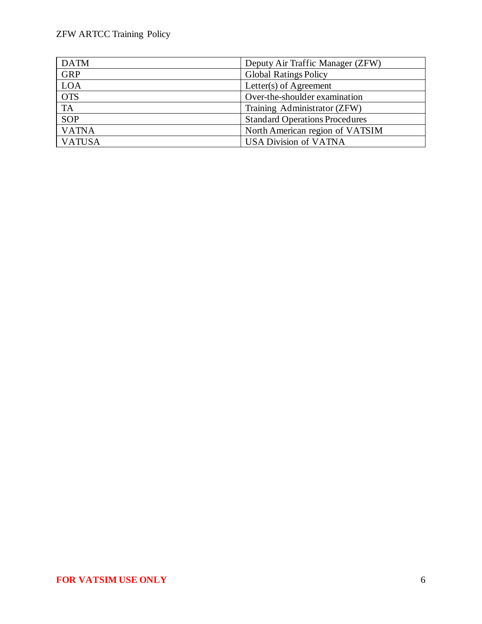## ZFW ARTCC Training Policy

| <b>DATM</b>   | Deputy Air Traffic Manager (ZFW)      |  |
|---------------|---------------------------------------|--|
| <b>GRP</b>    | <b>Global Ratings Policy</b>          |  |
| <b>LOA</b>    | Letter(s) of Agreement                |  |
| <b>OTS</b>    | Over-the-shoulder examination         |  |
| <b>TA</b>     | Training Administrator (ZFW)          |  |
| <b>SOP</b>    | <b>Standard Operations Procedures</b> |  |
| <b>VATNA</b>  | North American region of VATSIM       |  |
| <b>VATUSA</b> | <b>USA Division of VATNA</b>          |  |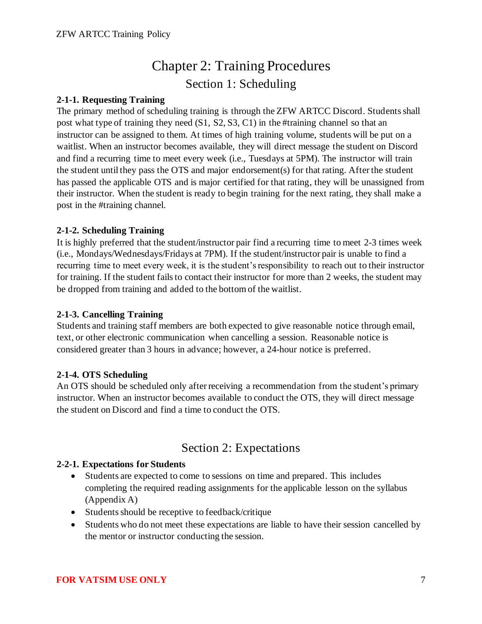# Chapter 2: Training Procedures Section 1: Scheduling

#### <span id="page-6-2"></span><span id="page-6-1"></span><span id="page-6-0"></span>**2-1-1. Requesting Training**

The primary method of scheduling training is through the ZFW ARTCC Discord. Students shall post what type of training they need (S1, S2, S3, C1) in the #training channel so that an instructor can be assigned to them. At times of high training volume, students will be put on a waitlist. When an instructor becomes available, they will direct message the student on Discord and find a recurring time to meet every week (i.e., Tuesdays at 5PM). The instructor will train the student until they pass the OTS and major endorsement(s) for that rating. After the student has passed the applicable OTS and is major certified for that rating, they will be unassigned from their instructor. When the student is ready to begin training for the next rating, they shall make a post in the #training channel.

#### <span id="page-6-3"></span>**2-1-2. Scheduling Training**

It is highly preferred that the student/instructor pair find a recurring time to meet 2-3 times week (i.e., Mondays/Wednesdays/Fridays at 7PM). If the student/instructor pair is unable to find a recurring time to meet every week, it is the student's responsibility to reach out to their instructor for training. If the student fails to contact their instructor for more than 2 weeks, the student may be dropped from training and added to the bottom of the waitlist.

#### <span id="page-6-4"></span>**2-1-3. Cancelling Training**

Students and training staff members are both expected to give reasonable notice through email, text, or other electronic communication when cancelling a session. Reasonable notice is considered greater than 3 hours in advance; however, a 24-hour notice is preferred.

#### <span id="page-6-5"></span>**2-1-4. OTS Scheduling**

An OTS should be scheduled only after receiving a recommendation from the student's primary instructor. When an instructor becomes available to conduct the OTS, they will direct message the student on Discord and find a time to conduct the OTS.

## Section 2: Expectations

#### <span id="page-6-7"></span><span id="page-6-6"></span>**2-2-1. Expectations for Students**

- Students are expected to come to sessions on time and prepared. This includes completing the required reading assignments for the applicable lesson on the syllabus (Appendix A)
- Students should be receptive to feedback/critique
- Students who do not meet these expectations are liable to have their session cancelled by the mentor or instructor conducting the session.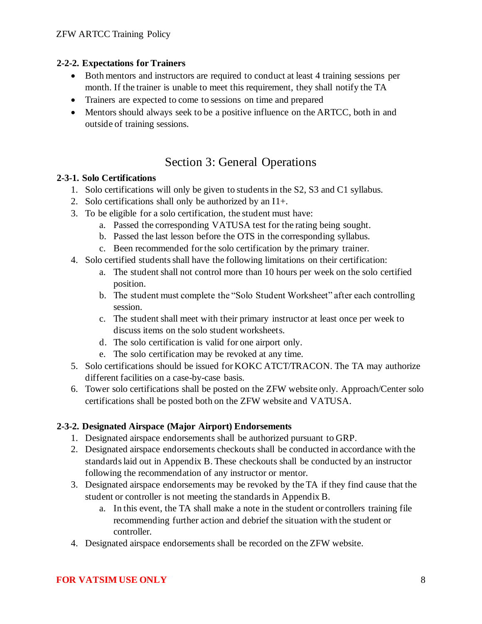#### <span id="page-7-0"></span>**2-2-2. Expectations for Trainers**

- Both mentors and instructors are required to conduct at least 4 training sessions per month. If the trainer is unable to meet this requirement, they shall notify the TA
- Trainers are expected to come to sessions on time and prepared
- Mentors should always seek to be a positive influence on the ARTCC, both in and outside of training sessions.

## Section 3: General Operations

#### <span id="page-7-2"></span><span id="page-7-1"></span>**2-3-1. Solo Certifications**

- 1. Solo certifications will only be given to students in the S2, S3 and C1 syllabus.
- 2. Solo certifications shall only be authorized by an I1+.
- 3. To be eligible for a solo certification, the student must have:
	- a. Passed the corresponding VATUSA test for the rating being sought.
	- b. Passed the last lesson before the OTS in the corresponding syllabus.
	- c. Been recommended for the solo certification by the primary trainer.
- 4. Solo certified students shall have the following limitations on their certification:
	- a. The student shall not control more than 10 hours per week on the solo certified position.
	- b. The student must complete the "Solo Student Worksheet" after each controlling session.
	- c. The student shall meet with their primary instructor at least once per week to discuss items on the solo student worksheets.
	- d. The solo certification is valid for one airport only.
	- e. The solo certification may be revoked at any time.
- 5. Solo certifications should be issued for KOKC ATCT/TRACON. The TA may authorize different facilities on a case-by-case basis.
- 6. Tower solo certifications shall be posted on the ZFW website only. Approach/Center solo certifications shall be posted both on the ZFW website and VATUSA.

#### <span id="page-7-3"></span>**2-3-2. Designated Airspace (Major Airport) Endorsements**

- 1. Designated airspace endorsements shall be authorized pursuant to GRP.
- 2. Designated airspace endorsements checkouts shall be conducted in accordance with the standards laid out in Appendix B. These checkouts shall be conducted by an instructor following the recommendation of any instructor or mentor.
- 3. Designated airspace endorsements may be revoked by the TA if they find cause that the student or controller is not meeting the standards in Appendix B.
	- a. In this event, the TA shall make a note in the student or controllers training file recommending further action and debrief the situation with the student or controller.
- 4. Designated airspace endorsements shall be recorded on the ZFW website.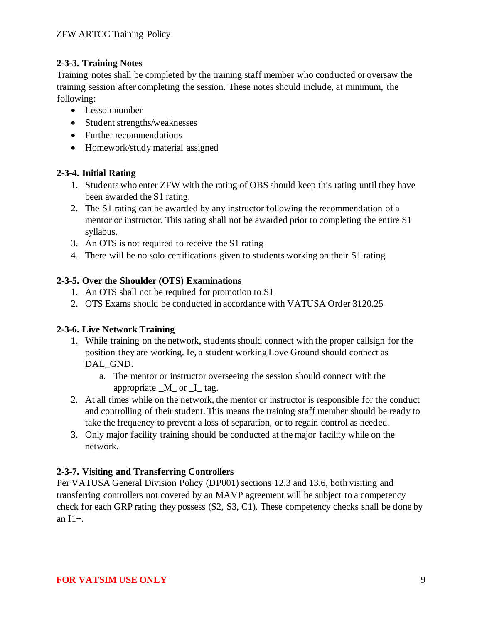#### <span id="page-8-0"></span>**2-3-3. Training Notes**

Training notes shall be completed by the training staff member who conducted or oversaw the training session after completing the session. These notes should include, at minimum, the following:

- Lesson number
- Student strengths/weaknesses
- Further recommendations
- Homework/study material assigned

#### <span id="page-8-1"></span>**2-3-4. Initial Rating**

- 1. Students who enter ZFW with the rating of OBS should keep this rating until they have been awarded the S1 rating.
- 2. The S1 rating can be awarded by any instructor following the recommendation of a mentor or instructor. This rating shall not be awarded prior to completing the entire S1 syllabus.
- 3. An OTS is not required to receive the S1 rating
- 4. There will be no solo certifications given to students working on their S1 rating

#### <span id="page-8-2"></span>**2-3-5. Over the Shoulder (OTS) Examinations**

- 1. An OTS shall not be required for promotion to S1
- 2. OTS Exams should be conducted in accordance with VATUSA Order 3120.25

#### <span id="page-8-3"></span>**2-3-6. Live Network Training**

- 1. While training on the network, students should connect with the proper callsign for the position they are working. Ie, a student working Love Ground should connect as DAL\_GND.
	- a. The mentor or instructor overseeing the session should connect with the appropriate \_M\_ or \_I\_ tag.
- 2. At all times while on the network, the mentor or instructor is responsible for the conduct and controlling of their student. This means the training staff member should be ready to take the frequency to prevent a loss of separation, or to regain control as needed.
- 3. Only major facility training should be conducted at the major facility while on the network.

#### <span id="page-8-4"></span>**2-3-7. Visiting and Transferring Controllers**

Per VATUSA General Division Policy (DP001) sections 12.3 and 13.6, both visiting and transferring controllers not covered by an MAVP agreement will be subject to a competency check for each GRP rating they possess (S2, S3, C1). These competency checks shall be done by an  $I1+$ .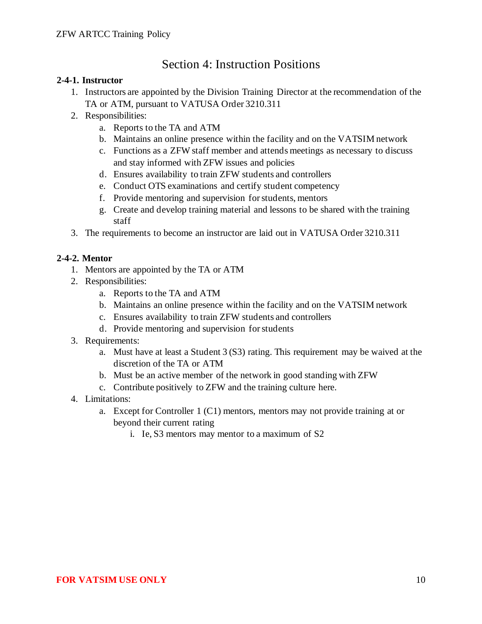## Section 4: Instruction Positions

#### <span id="page-9-1"></span><span id="page-9-0"></span>**2-4-1. Instructor**

- 1. Instructors are appointed by the Division Training Director at the recommendation of the TA or ATM, pursuant to VATUSA Order 3210.311
- 2. Responsibilities:
	- a. Reports to the TA and ATM
	- b. Maintains an online presence within the facility and on the VATSIM network
	- c. Functions as a ZFW staff member and attends meetings as necessary to discuss and stay informed with ZFW issues and policies
	- d. Ensures availability to train ZFW students and controllers
	- e. Conduct OTS examinations and certify student competency
	- f. Provide mentoring and supervision for students, mentors
	- g. Create and develop training material and lessons to be shared with the training staff
- 3. The requirements to become an instructor are laid out in VATUSA Order 3210.311

#### <span id="page-9-2"></span>**2-4-2. Mentor**

- 1. Mentors are appointed by the TA or ATM
- 2. Responsibilities:
	- a. Reports to the TA and ATM
	- b. Maintains an online presence within the facility and on the VATSIM network
	- c. Ensures availability to train ZFW students and controllers
	- d. Provide mentoring and supervision for students
- 3. Requirements:
	- a. Must have at least a Student 3 (S3) rating. This requirement may be waived at the discretion of the TA or ATM
	- b. Must be an active member of the network in good standing with ZFW
	- c. Contribute positively to ZFW and the training culture here.
- 4. Limitations:
	- a. Except for Controller 1 (C1) mentors, mentors may not provide training at or beyond their current rating
		- i. Ie, S3 mentors may mentor to a maximum of S2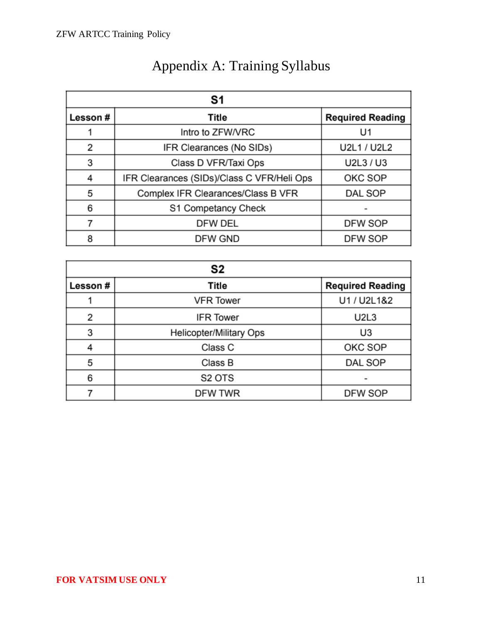<span id="page-10-0"></span>

| S1      |                                            |                         |
|---------|--------------------------------------------|-------------------------|
| Lesson# | Title                                      | <b>Required Reading</b> |
|         | Intro to ZFW/VRC                           | U <sub>1</sub>          |
| 2       | IFR Clearances (No SIDs)                   | U2L1 / U2L2             |
| 3       | Class D VFR/Taxi Ops                       | U2L3 / U3               |
| 4       | IFR Clearances (SIDs)/Class C VFR/Heli Ops | OKC SOP                 |
| 5       | Complex IFR Clearances/Class B VFR         | DAL SOP                 |
| 6       | S1 Competancy Check                        |                         |
|         | <b>DFW DEL</b>                             | DFW SOP                 |
| 8       | <b>DFW GND</b>                             | DFW SOP                 |

# Appendix A: Training Syllabus

| S2      |                         |                         |
|---------|-------------------------|-------------------------|
| Lesson# | <b>Title</b>            | <b>Required Reading</b> |
|         | <b>VFR Tower</b>        | U1 / U2L1&2             |
| 2       | <b>IFR Tower</b>        | <b>U2L3</b>             |
| 3       | Helicopter/Military Ops | U <sub>3</sub>          |
| 4       | Class C                 | OKC SOP                 |
| 5       | Class B                 | DAL SOP                 |
| 6       | S <sub>2</sub> OTS      |                         |
|         | <b>DFW TWR</b>          | DFW SOP                 |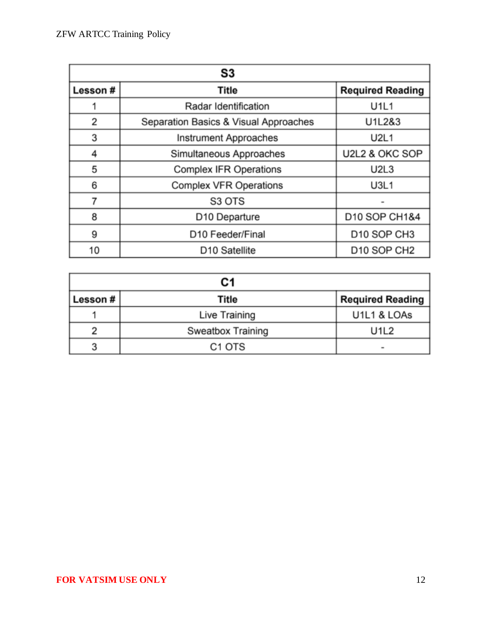| S3      |                                       |                          |
|---------|---------------------------------------|--------------------------|
| Lesson# | <b>Title</b>                          | <b>Required Reading</b>  |
|         | Radar Identification                  | <b>U1L1</b>              |
| 2       | Separation Basics & Visual Approaches | U1L2&3                   |
| 3       | <b>Instrument Approaches</b>          | <b>U2L1</b>              |
| 4       | Simultaneous Approaches               | U2L2 & OKC SOP           |
| 5       | <b>Complex IFR Operations</b>         | <b>U2L3</b>              |
| 6       | <b>Complex VFR Operations</b>         | U3L1                     |
|         | S <sub>3</sub> OTS                    |                          |
| 8       | D <sub>10</sub> Departure             | <b>D10 SOP CH1&amp;4</b> |
| 9       | D10 Feeder/Final                      | D10 SOP CH3              |
| 10      | D <sub>10</sub> Satellite             | D10 SOP CH2              |

<span id="page-11-0"></span>

| C1       |                          |                              |
|----------|--------------------------|------------------------------|
| Lesson # | Title                    | <b>Required Reading</b>      |
|          | Live Training            | U1L1 & LOAs                  |
|          | <b>Sweatbox Training</b> | <b>U1L2</b>                  |
|          | C <sub>1</sub> OTS       | $\qquad \qquad \blacksquare$ |